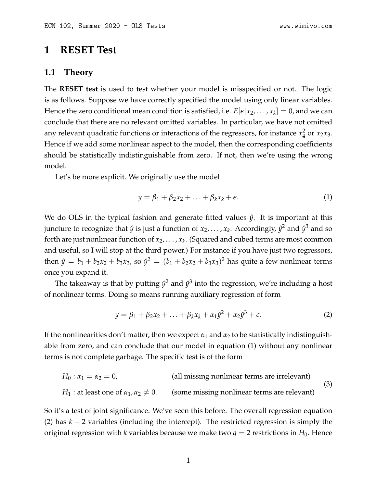# **1 RESET Test**

#### **1.1 Theory**

The **RESET test** is used to test whether your model is misspecified or not. The logic is as follows. Suppose we have correctly specified the model using only linear variables. Hence the zero conditional mean condition is satisfied, i.e.  $E[\epsilon | x_2, \ldots, x_k] = 0$ , and we can conclude that there are no relevant omitted variables. In particular, we have not omitted any relevant quadratic functions or interactions of the regressors, for instance *x* 2  $rac{2}{4}$  or  $x_2x_3$ . Hence if we add some nonlinear aspect to the model, then the corresponding coefficients should be statistically indistinguishable from zero. If not, then we're using the wrong model.

Let's be more explicit. We originally use the model

<span id="page-0-0"></span>
$$
y = \beta_1 + \beta_2 x_2 + \ldots + \beta_k x_k + \epsilon. \tag{1}
$$

We do OLS in the typical fashion and generate fitted values  $\hat{y}$ . It is important at this juncture to recognize that  $\hat{y}$  is just a function of  $x_2, \ldots, x_k$ . Accordingly,  $\hat{y}^2$  and  $\hat{y}^3$  and so forth are just nonlinear function of *x*2, . . . , *x<sup>k</sup>* . (Squared and cubed terms are most common and useful, so I will stop at the third power.) For instance if you have just two regressors, then  $\hat{y} = b_1 + b_2x_2 + b_3x_3$ , so  $\hat{y}^2 = (b_1 + b_2x_2 + b_3x_3)^2$  has quite a few nonlinear terms once you expand it.

The takeaway is that by putting  $\hat{y}^2$  and  $\hat{y}^3$  into the regression, we're including a host of nonlinear terms. Doing so means running auxiliary regression of form

<span id="page-0-1"></span>
$$
y = \beta_1 + \beta_2 x_2 + \ldots + \beta_k x_k + \alpha_1 \hat{y}^2 + \alpha_2 \hat{y}^3 + \epsilon.
$$
 (2)

If the nonlinearities don't matter, then we expect  $\alpha_1$  and  $\alpha_2$  to be statistically indistinguishable from zero, and can conclude that our model in equation [\(1\)](#page-0-0) without any nonlinear terms is not complete garbage. The specific test is of the form

$$
H_0: \alpha_1 = \alpha_2 = 0,
$$
 (all missing nonlinear terms are irrelevant)  
\n $H_1: \text{at least one of } \alpha_1, \alpha_2 \neq 0.$  (some missing nonlinear terms are relevant) (3)

So it's a test of joint significance. We've seen this before. The overall regression equation [\(2\)](#page-0-1) has  $k + 2$  variables (including the intercept). The restricted regression is simply the original regression with *k* variables because we make two  $q = 2$  restrictions in  $H_0$ . Hence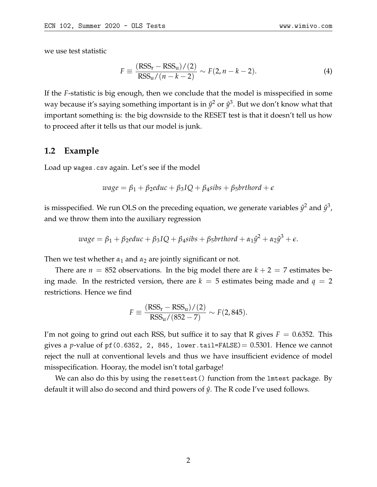we use test statistic

$$
F \equiv \frac{(RSS_{r} - RSS_{u})/(2)}{RSS_{u}/(n-k-2)} \sim F(2, n-k-2).
$$
 (4)

If the *F*-statistic is big enough, then we conclude that the model is misspecified in some way because it's saying something important is in  $\hat{y}^2$  or  $\hat{y}^3$ . But we don't know what that important something is: the big downside to the RESET test is that it doesn't tell us how to proceed after it tells us that our model is junk.

### **1.2 Example**

Load up wages.csv again. Let's see if the model

$$
wage = \beta_1 + \beta_2 educ + \beta_3 IQ + \beta_4 sibs + \beta_5 brthord + \epsilon
$$

is misspecified. We run OLS on the preceding equation, we generate variables  $\hat{y}^2$  and  $\hat{y}^3$ , and we throw them into the auxiliary regression

$$
wage = \beta_1 + \beta_2 educ + \beta_3 IQ + \beta_4 sibs + \beta_5 brthord + \alpha_1 \hat{y}^2 + \alpha_2 \hat{y}^3 + \epsilon.
$$

Then we test whether  $\alpha_1$  and  $\alpha_2$  are jointly significant or not.

There are  $n = 852$  observations. In the big model there are  $k + 2 = 7$  estimates being made. In the restricted version, there are  $k = 5$  estimates being made and  $q = 2$ restrictions. Hence we find

$$
F \equiv \frac{(RSS_{r} - RSS_{u})/(2)}{RSS_{u}/(852 - 7)} \sim F(2,845).
$$

I'm not going to grind out each RSS, but suffice it to say that R gives  $F = 0.6352$ . This gives a *p*-value of pf(0.6352, 2, 845, lower.tail=FALSE) =  $0.5301$ . Hence we cannot reject the null at conventional levels and thus we have insufficient evidence of model misspecification. Hooray, the model isn't total garbage!

We can also do this by using the resettest() function from the lmtest package. By default it will also do second and third powers of  $\hat{y}$ . The R code I've used follows.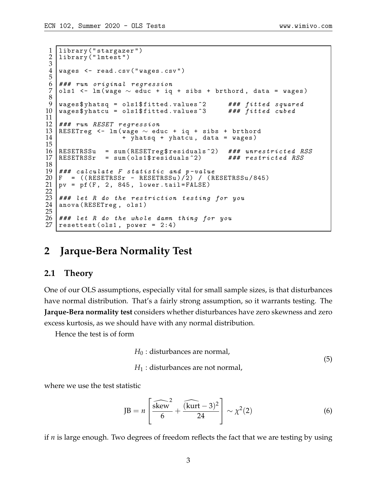```
1 library ("stargazer")<br>2 library ("lmtest")
     library ("lmtest")
 \frac{3}{4}wages \leq read.csv ("wages.csv")
 5
 6 ### run original regression<br>7 ols1 <- lm(wage \sim educ + iq
     ols1 <- lm (wage \sim educ + iq + sibs + brthord, data = wages)
 8
9 wages $ yhatsq = ols1 $ fitted . values \hat{ } 2 ### fitted squared 10 wages $ yhatcu = ols1 $ fitted . values \hat{ } 3 ### fitted cubed
     wages $ yhatcu = ols1 $ fitited. values ^3 3 \frac{11}{12}\begin{array}{r} 12 \mid {\# \# \#} \end{array} run RESET regression<br>13 RESETreg <- lm(wage \sim ed
13 RESETreg <- 1m(wage ∼ educ + iq + sibs + brthord<br>14 + vhatsg + vhatcu, data = wages)
                               + yhatsq + yhatcu, data = wages)
\frac{15}{16}16 RESETRSSu = sum (RESETreg$ residuals ^2) ### unrestricted RSS<br>17 RESETRSSr = sum (ols1$ residuals ^2) ### restricted RSS
     RESETRSSr = sum (ols1$ residuals<sup>2</sup>)\begin{array}{c} 18 \\ 19 \end{array}19 \# \# \# calculate F statistic and p-value<br>20 \mathrm{F} = ((RESETRSSr - RESETRSSu)/2) / (R
20 F = (( RESETRSSr - RESETRSSu ) / 2) / ( RESETRSSu / 845)
21 \mid pv = pf(F, 2, 845, lower.tail = FALSE)\frac{22}{23}### let R do the restriction testing for you
     anova (RESETreg, ols1)
\frac{24}{25}26 ### let R do the whole damn thing for you<br>27 resettest(ols1, power = 2:4)
    resettest (ols1, power = 2:4)
```
# **2 Jarque-Bera Normality Test**

### **2.1 Theory**

One of our OLS assumptions, especially vital for small sample sizes, is that disturbances have normal distribution. That's a fairly strong assumption, so it warrants testing. The **Jarque-Bera normality test** considers whether disturbances have zero skewness and zero excess kurtosis, as we should have with any normal distribution.

Hence the test is of form

$$
H_0
$$
: disturbances are normal,  
 $H_1$ : disturbances are not normal, (5)

where we use the test statistic

$$
JB = n \left[ \frac{\widehat{\text{skew}}^2}{6} + \frac{(\widehat{\text{kurt}} - 3)^2}{24} \right] \sim \chi^2(2)
$$
 (6)

if *n* is large enough. Two degrees of freedom reflects the fact that we are testing by using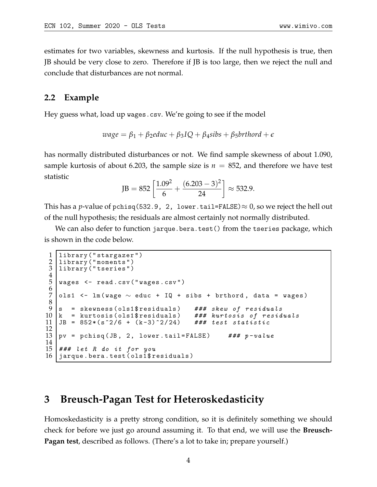estimates for two variables, skewness and kurtosis. If the null hypothesis is true, then JB should be very close to zero. Therefore if JB is too large, then we reject the null and conclude that disturbances are not normal.

#### **2.2 Example**

Hey guess what, load up wages.csv. We're going to see if the model

$$
wage = \beta_1 + \beta_2 educ + \beta_3 IQ + \beta_4 sibs + \beta_5 brthord + \epsilon
$$

has normally distributed disturbances or not. We find sample skewness of about 1.090, sample kurtosis of about 6.203, the sample size is  $n = 852$ , and therefore we have test statistic

$$
JB = 852 \left[ \frac{1.09^2}{6} + \frac{(6.203 - 3)^2}{24} \right] \approx 532.9.
$$

This has a *p*-value of pchisq(532.9, 2, lower.tail=FALSE)  $\approx$  0, so we reject the hell out of the null hypothesis; the residuals are almost certainly not normally distributed.

We can also defer to function jarque.bera.test() from the tseries package, which is shown in the code below.

```
1 | library ("stargazer")<br>2 | library ("moments")
2 library ("moments")<br>3 library ("tseries")
    library ("tseries")
\frac{4}{5}wages <- read.csv ("wages.csv")
6
    ols1 <- lm (wage \sim educ + IQ + sibs + brthord, data = wages)
\frac{8}{9}9 \mid s = skewness (ols1$ residuals) ### skew of residuals 10 k = kurtosis (ols1$ residuals) ### kurtosis of residuals
10 k = kurtosis (ols1$ residuals) ### kurtosis of re<br>11 JB = 852*(s^2/6 + (k-3)^2/24) ### test statistic
    JB = 852*(s^2/6 + (k-3)^2/24)12
13 \text{ |pv = polisq (JB, 2, lower.\ntail=FALSE) ### p-value14
15 # # # let R do it for you16 jarque.bera.test (ols1$ residuals)
```
# **3 Breusch-Pagan Test for Heteroskedasticity**

Homoskedasticity is a pretty strong condition, so it is definitely something we should check for before we just go around assuming it. To that end, we will use the **Breusch-Pagan test**, described as follows. (There's a lot to take in; prepare yourself.)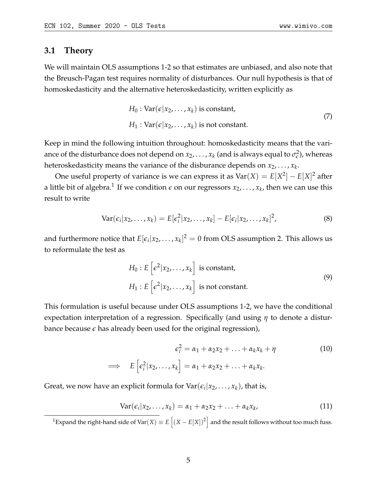## **3.1 Theory**

We will maintain OLS assumptions 1-2 so that estimates are unbiased, and also note that the Breusch-Pagan test requires normality of disturbances. Our null hypothesis is that of homoskedasticity and the alternative heteroskedasticity, written explicitly as

$$
H_0: \text{Var}(\epsilon | x_2, \dots, x_k) \text{ is constant,}
$$
  
\n
$$
H_1: \text{Var}(\epsilon | x_2, \dots, x_k) \text{ is not constant.}
$$
\n(7)

Keep in mind the following intuition throughout: homoskedasticity means that the variance of the disturbance does not depend on  $x_2,\ldots,x_k$  (and is always equal to  $\sigma_\epsilon^2$  $\epsilon$ <sup>2</sup>), whereas heteroskedasticity means the variance of the disburance depends on *x*2, . . . , *x<sup>k</sup>* .

One useful property of variance is we can express it as  $Var(X) = E[X^2] - E[X]^2$  after a little bit of algebra.<sup>[1](#page-4-0)</sup> If we condition  $\epsilon$  on our regressors  $x_2, \ldots, x_k$ , then we can use this result to write

$$
Var(\epsilon_i | x_2, \dots, x_k) = E[\epsilon_i^2 | x_2, \dots, x_k] - E[\epsilon_i | x_2, \dots, x_k]^2,
$$
\n(8)

and furthermore notice that  $E[\epsilon_i|{x_2,\ldots,x_k}]^2=0$  from OLS assumption 2. This allows us to reformulate the test as

<span id="page-4-1"></span>
$$
H_0: E\left[e^2|x_2,\ldots,x_k\right] \text{ is constant,}
$$
  
\n
$$
H_1: E\left[e^2|x_2,\ldots,x_k\right] \text{ is not constant.}
$$
\n(9)

This formulation is useful because under OLS assumptions 1-2, we have the conditional expectation interpretation of a regression. Specifically (and using *η* to denote a disturbance because *e* has already been used for the original regression),

$$
\epsilon_i^2 = \alpha_1 + \alpha_2 x_2 + \ldots + \alpha_k x_k + \eta
$$
\n
$$
\implies E\left[\epsilon_i^2 | x_2, \ldots, x_k\right] = \alpha_1 + \alpha_2 x_2 + \ldots + \alpha_k x_k.
$$
\n(10)

Great, we now have an explicit formula for  $\text{Var}(\epsilon_i | x_2, \dots, x_k)$ , that is,

$$
Var(\epsilon_i|x_2,\ldots,x_k)=\alpha_1+\alpha_2x_2+\ldots+\alpha_kx_k, \hspace{1.5cm} (11)
$$

<span id="page-4-0"></span><sup>1</sup>Expand the right-hand side of Var $(X) \equiv E\left[ (X - E[X])^2 \right]$  and the result follows without too much fuss.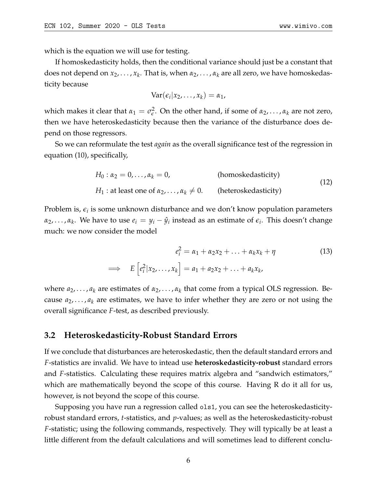which is the equation we will use for testing.

If homoskedasticity holds, then the conditional variance should just be a constant that does not depend on *x*2, . . . , *x<sup>k</sup>* . That is, when *α*2, . . . , *α<sup>k</sup>* are all zero, we have homoskedasticity because

$$
Var(\epsilon_i|x_2,\ldots,x_k)=\alpha_1,
$$

which makes it clear that  $\alpha_1 = \sigma_{\epsilon}^2$ *e* . On the other hand, if some of *α*2, . . . , *α<sup>k</sup>* are not zero, then we have heteroskedasticity because then the variance of the disturbance does depend on those regressors.

So we can reformulate the test *again* as the overall significance test of the regression in equation [\(10\)](#page-4-1), specifically,

$$
H_0: \alpha_2 = 0, ..., \alpha_k = 0,
$$
 (homoskedasticity)  

$$
H_1: \text{at least one of } \alpha_2, ..., \alpha_k \neq 0.
$$
 (heteroskedasticity) (12)

Problem is*,*  $\epsilon_i$  is some unknown disturbance and we don't know population parameters  $\alpha_2, \ldots, \alpha_k$ . We have to use  $e_i = y_i - \hat{y}_i$  instead as an estimate of  $\epsilon_i$ . This doesn't change much: we now consider the model

$$
e_i^2 = \alpha_1 + \alpha_2 x_2 + \ldots + \alpha_k x_k + \eta
$$
  
\n
$$
\implies E\left[e_i^2 | x_2, \ldots, x_k\right] = a_1 + a_2 x_2 + \ldots + a_k x_k,
$$
\n(13)

where *a*2, . . . , *a<sup>k</sup>* are estimates of *α*2, . . . , *α<sup>k</sup>* that come from a typical OLS regression. Because  $a_2, \ldots, a_k$  are estimates, we have to infer whether they are zero or not using the overall significance *F*-test, as described previously.

## **3.2 Heteroskedasticity-Robust Standard Errors**

If we conclude that disturbances are heteroskedastic, then the default standard errors and *F*-statistics are invalid. We have to intead use **heteroskedasticity-robust** standard errors and *F*-statistics. Calculating these requires matrix algebra and "sandwich estimators," which are mathematically beyond the scope of this course. Having R do it all for us, however, is not beyond the scope of this course.

Supposing you have run a regression called ols1, you can see the heteroskedasticityrobust standard errors, *t*-statistics, and *p*-values; as well as the heteroskedasticity-robust *F*-statistic; using the following commands, respectively. They will typically be at least a little different from the default calculations and will sometimes lead to different conclu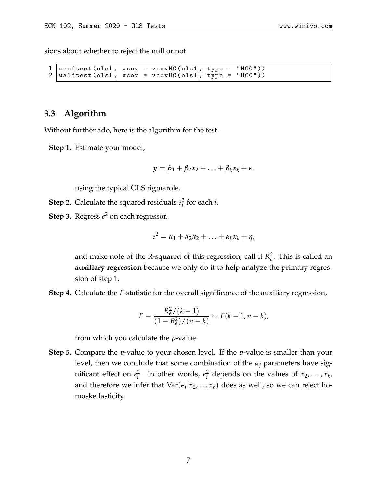sions about whether to reject the null or not.

```
\begin{array}{l} 1 \text{ coefficients (ols1, } vcov = vcovHC(ols1, type = "HCO")) \ 2 \text{ indicates (ols1, } vcov = vcovHC(ols1, type = "HCO")) \end{array}waldtest (ols1, vcov = vcovHC (ols1, type =
```
# **3.3 Algorithm**

Without further ado, here is the algorithm for the test.

**Step 1.** Estimate your model,

$$
y = \beta_1 + \beta_2 x_2 + \ldots + \beta_k x_k + \epsilon,
$$

using the typical OLS rigmarole.

- **Step 2.** Calculate the squared residuals  $e_i^2$ *i* for each *i*.
- **Step 3.** Regress *e* <sup>2</sup> on each regressor,

$$
e^2 = \alpha_1 + \alpha_2 x_2 + \ldots + \alpha_k x_k + \eta,
$$

and make note of the R-squared of this regression, call it  $R_e^2$ . This is called an **auxiliary regression** because we only do it to help analyze the primary regression of step 1.

**Step 4.** Calculate the *F*-statistic for the overall significance of the auxiliary regression,

$$
F \equiv \frac{R_e^2/(k-1)}{(1 - R_e^2)/(n-k)} \sim F(k-1, n-k),
$$

from which you calculate the *p*-value.

**Step 5.** Compare the *p*-value to your chosen level. If the *p*-value is smaller than your level, then we conclude that some combination of the *α<sup>j</sup>* parameters have significant effect on  $e_i^2$  $\frac{2}{i}$ . In other words,  $e_i^2$  $\frac{2}{i}$  depends on the values of  $x_2, \ldots, x_k$ , and therefore we infer that  $Var(\epsilon_i | x_2, \ldots x_k)$  does as well, so we can reject homoskedasticity.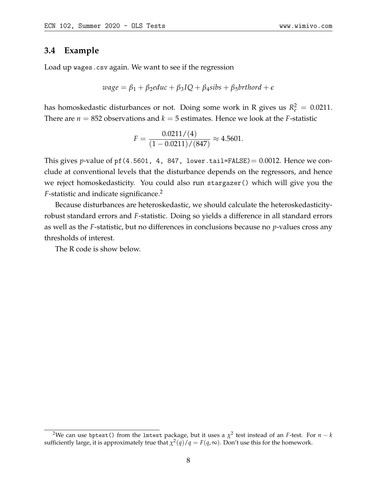## **3.4 Example**

Load up wages.csv again. We want to see if the regression

$$
wage = \beta_1 + \beta_2 educ + \beta_3 IQ + \beta_4 sibs + \beta_5 brthord + \epsilon
$$

has homoskedastic disturbances or not. Doing some work in R gives us  $R_e^2 = 0.0211$ . There are  $n = 852$  observations and  $k = 5$  estimates. Hence we look at the *F*-statistic

$$
F = \frac{0.0211/(4)}{(1 - 0.0211)/(847)} \approx 4.5601.
$$

This gives *p*-value of pf(4.5601, 4, 847, lower.tail=FALSE) =  $0.0012$ . Hence we conclude at conventional levels that the disturbance depends on the regressors, and hence we reject homoskedasticity. You could also run stargazer() which will give you the *F*-statistic and indicate significance.<sup>[2](#page-7-0)</sup>

Because disturbances are heteroskedastic, we should calculate the heteroskedasticityrobust standard errors and *F*-statistic. Doing so yields a difference in all standard errors as well as the *F*-statistic, but no differences in conclusions because no *p*-values cross any thresholds of interest.

The R code is show below.

<span id="page-7-0"></span> $^2$ We can use bptest() from the 1mtest package, but it uses a  $\chi^2$  test instead of an *F*-test. For  $n-k$ sufficiently large, it is approximately true that  $\chi^2(q)/q = F(q,\infty)$ . Don't use this for the homework.